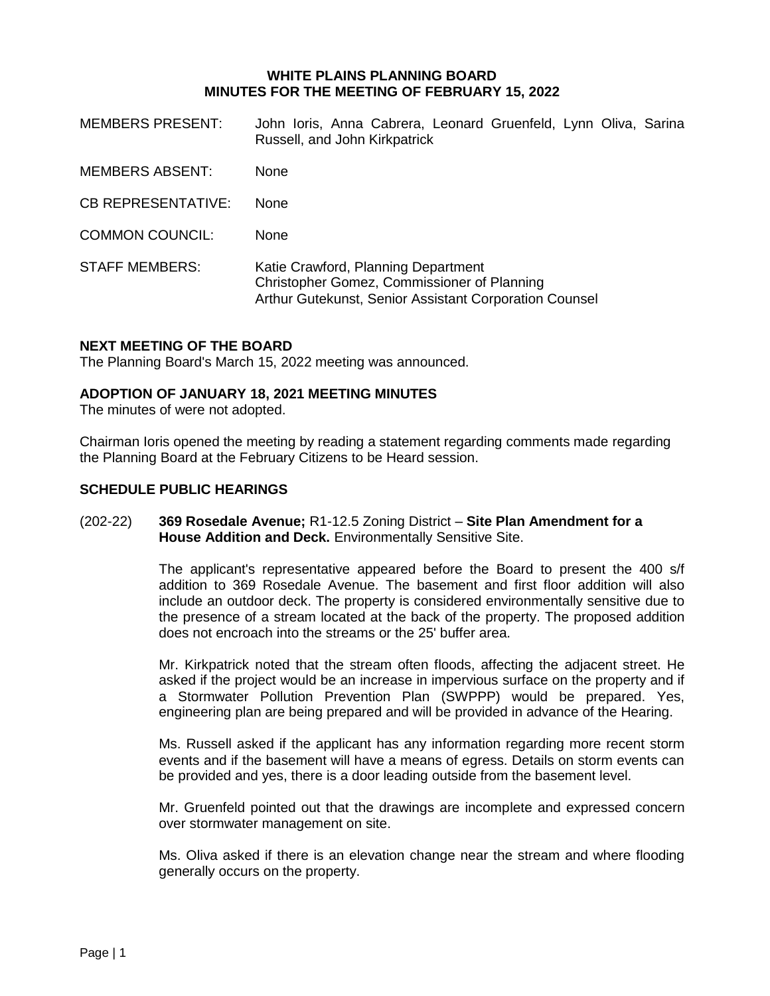### **WHITE PLAINS PLANNING BOARD MINUTES FOR THE MEETING OF FEBRUARY 15, 2022**

| <b>MEMBERS PRESENT:</b>   | John Ioris, Anna Cabrera, Leonard Gruenfeld, Lynn Oliva, Sarina<br>Russell, and John Kirkpatrick                                             |
|---------------------------|----------------------------------------------------------------------------------------------------------------------------------------------|
| <b>MEMBERS ABSENT:</b>    | <b>None</b>                                                                                                                                  |
| <b>CB REPRESENTATIVE:</b> | <b>None</b>                                                                                                                                  |
| <b>COMMON COUNCIL:</b>    | <b>None</b>                                                                                                                                  |
| <b>STAFF MEMBERS:</b>     | Katie Crawford, Planning Department<br>Christopher Gomez, Commissioner of Planning<br>Arthur Gutekunst, Senior Assistant Corporation Counsel |

### **NEXT MEETING OF THE BOARD**

The Planning Board's March 15, 2022 meeting was announced.

### **ADOPTION OF JANUARY 18, 2021 MEETING MINUTES**

The minutes of were not adopted.

Chairman Ioris opened the meeting by reading a statement regarding comments made regarding the Planning Board at the February Citizens to be Heard session.

### **SCHEDULE PUBLIC HEARINGS**

### (202-22) **369 Rosedale Avenue;** R1-12.5 Zoning District – **Site Plan Amendment for a House Addition and Deck.** Environmentally Sensitive Site.

The applicant's representative appeared before the Board to present the 400 s/f addition to 369 Rosedale Avenue. The basement and first floor addition will also include an outdoor deck. The property is considered environmentally sensitive due to the presence of a stream located at the back of the property. The proposed addition does not encroach into the streams or the 25' buffer area.

Mr. Kirkpatrick noted that the stream often floods, affecting the adjacent street. He asked if the project would be an increase in impervious surface on the property and if a Stormwater Pollution Prevention Plan (SWPPP) would be prepared. Yes, engineering plan are being prepared and will be provided in advance of the Hearing.

Ms. Russell asked if the applicant has any information regarding more recent storm events and if the basement will have a means of egress. Details on storm events can be provided and yes, there is a door leading outside from the basement level.

Mr. Gruenfeld pointed out that the drawings are incomplete and expressed concern over stormwater management on site.

Ms. Oliva asked if there is an elevation change near the stream and where flooding generally occurs on the property.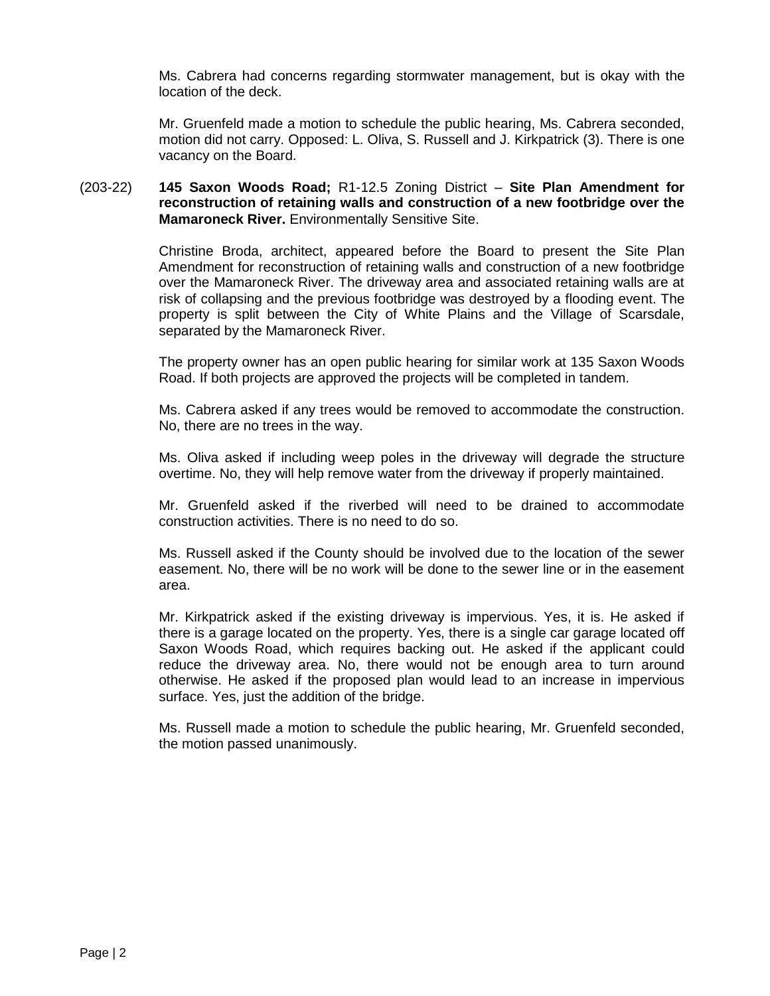Ms. Cabrera had concerns regarding stormwater management, but is okay with the location of the deck.

Mr. Gruenfeld made a motion to schedule the public hearing, Ms. Cabrera seconded, motion did not carry. Opposed: L. Oliva, S. Russell and J. Kirkpatrick (3). There is one vacancy on the Board.

### (203-22) **145 Saxon Woods Road;** R1-12.5 Zoning District – **Site Plan Amendment for reconstruction of retaining walls and construction of a new footbridge over the Mamaroneck River.** Environmentally Sensitive Site.

Christine Broda, architect, appeared before the Board to present the Site Plan Amendment for reconstruction of retaining walls and construction of a new footbridge over the Mamaroneck River. The driveway area and associated retaining walls are at risk of collapsing and the previous footbridge was destroyed by a flooding event. The property is split between the City of White Plains and the Village of Scarsdale, separated by the Mamaroneck River.

The property owner has an open public hearing for similar work at 135 Saxon Woods Road. If both projects are approved the projects will be completed in tandem.

Ms. Cabrera asked if any trees would be removed to accommodate the construction. No, there are no trees in the way.

Ms. Oliva asked if including weep poles in the driveway will degrade the structure overtime. No, they will help remove water from the driveway if properly maintained.

Mr. Gruenfeld asked if the riverbed will need to be drained to accommodate construction activities. There is no need to do so.

Ms. Russell asked if the County should be involved due to the location of the sewer easement. No, there will be no work will be done to the sewer line or in the easement area.

Mr. Kirkpatrick asked if the existing driveway is impervious. Yes, it is. He asked if there is a garage located on the property. Yes, there is a single car garage located off Saxon Woods Road, which requires backing out. He asked if the applicant could reduce the driveway area. No, there would not be enough area to turn around otherwise. He asked if the proposed plan would lead to an increase in impervious surface. Yes, just the addition of the bridge.

Ms. Russell made a motion to schedule the public hearing, Mr. Gruenfeld seconded, the motion passed unanimously.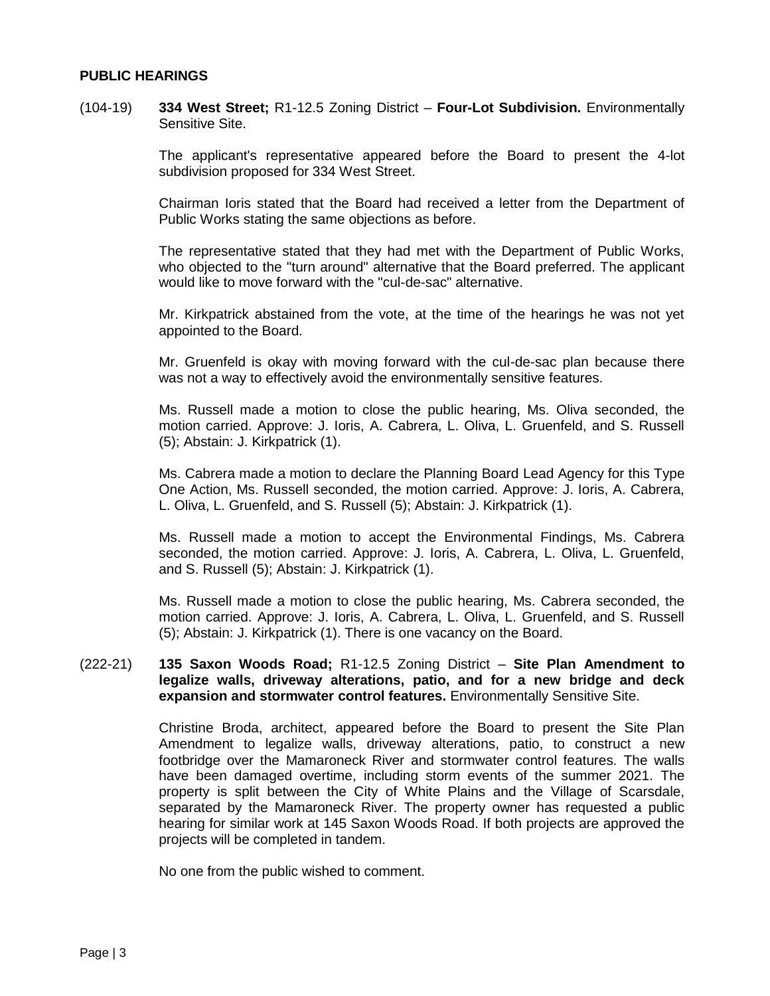### **PUBLIC HEARINGS**

(104-19) **334 West Street;** R1-12.5 Zoning District – **Four-Lot Subdivision.** Environmentally Sensitive Site.

> The applicant's representative appeared before the Board to present the 4-lot subdivision proposed for 334 West Street.

> Chairman Ioris stated that the Board had received a letter from the Department of Public Works stating the same objections as before.

> The representative stated that they had met with the Department of Public Works, who objected to the "turn around" alternative that the Board preferred. The applicant would like to move forward with the "cul-de-sac" alternative.

> Mr. Kirkpatrick abstained from the vote, at the time of the hearings he was not yet appointed to the Board.

> Mr. Gruenfeld is okay with moving forward with the cul-de-sac plan because there was not a way to effectively avoid the environmentally sensitive features.

> Ms. Russell made a motion to close the public hearing, Ms. Oliva seconded, the motion carried. Approve: J. Ioris, A. Cabrera, L. Oliva, L. Gruenfeld, and S. Russell (5); Abstain: J. Kirkpatrick (1).

> Ms. Cabrera made a motion to declare the Planning Board Lead Agency for this Type One Action, Ms. Russell seconded, the motion carried. Approve: J. Ioris, A. Cabrera, L. Oliva, L. Gruenfeld, and S. Russell (5); Abstain: J. Kirkpatrick (1).

> Ms. Russell made a motion to accept the Environmental Findings, Ms. Cabrera seconded, the motion carried. Approve: J. Ioris, A. Cabrera, L. Oliva, L. Gruenfeld, and S. Russell (5); Abstain: J. Kirkpatrick (1).

> Ms. Russell made a motion to close the public hearing, Ms. Cabrera seconded, the motion carried. Approve: J. Ioris, A. Cabrera, L. Oliva, L. Gruenfeld, and S. Russell (5); Abstain: J. Kirkpatrick (1). There is one vacancy on the Board.

#### (222-21) **135 Saxon Woods Road;** R1-12.5 Zoning District – **Site Plan Amendment to legalize walls, driveway alterations, patio, and for a new bridge and deck expansion and stormwater control features.** Environmentally Sensitive Site.

Christine Broda, architect, appeared before the Board to present the Site Plan Amendment to legalize walls, driveway alterations, patio, to construct a new footbridge over the Mamaroneck River and stormwater control features. The walls have been damaged overtime, including storm events of the summer 2021. The property is split between the City of White Plains and the Village of Scarsdale, separated by the Mamaroneck River. The property owner has requested a public hearing for similar work at 145 Saxon Woods Road. If both projects are approved the projects will be completed in tandem.

No one from the public wished to comment.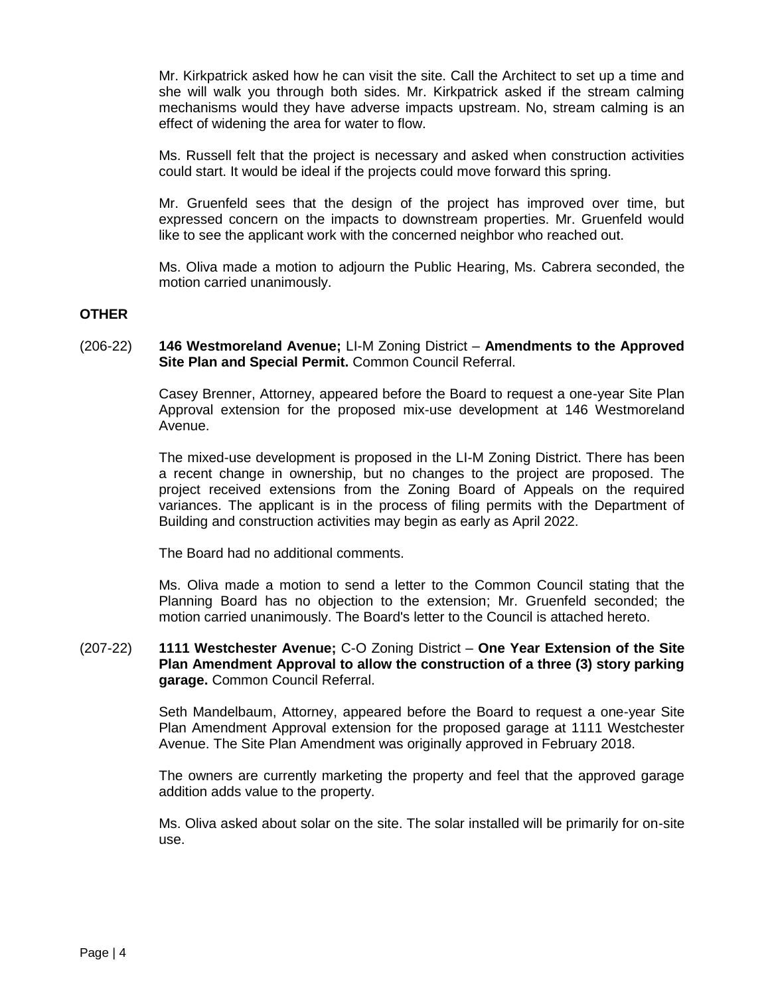Mr. Kirkpatrick asked how he can visit the site. Call the Architect to set up a time and she will walk you through both sides. Mr. Kirkpatrick asked if the stream calming mechanisms would they have adverse impacts upstream. No, stream calming is an effect of widening the area for water to flow.

Ms. Russell felt that the project is necessary and asked when construction activities could start. It would be ideal if the projects could move forward this spring.

Mr. Gruenfeld sees that the design of the project has improved over time, but expressed concern on the impacts to downstream properties. Mr. Gruenfeld would like to see the applicant work with the concerned neighbor who reached out.

Ms. Oliva made a motion to adjourn the Public Hearing, Ms. Cabrera seconded, the motion carried unanimously.

### **OTHER**

### (206-22) **146 Westmoreland Avenue;** LI-M Zoning District – **Amendments to the Approved Site Plan and Special Permit.** Common Council Referral.

Casey Brenner, Attorney, appeared before the Board to request a one-year Site Plan Approval extension for the proposed mix-use development at 146 Westmoreland Avenue.

The mixed-use development is proposed in the LI-M Zoning District. There has been a recent change in ownership, but no changes to the project are proposed. The project received extensions from the Zoning Board of Appeals on the required variances. The applicant is in the process of filing permits with the Department of Building and construction activities may begin as early as April 2022.

The Board had no additional comments.

Ms. Oliva made a motion to send a letter to the Common Council stating that the Planning Board has no objection to the extension; Mr. Gruenfeld seconded; the motion carried unanimously. The Board's letter to the Council is attached hereto.

### (207-22) **1111 Westchester Avenue;** C-O Zoning District – **One Year Extension of the Site Plan Amendment Approval to allow the construction of a three (3) story parking garage.** Common Council Referral.

Seth Mandelbaum, Attorney, appeared before the Board to request a one-year Site Plan Amendment Approval extension for the proposed garage at 1111 Westchester Avenue. The Site Plan Amendment was originally approved in February 2018.

The owners are currently marketing the property and feel that the approved garage addition adds value to the property.

Ms. Oliva asked about solar on the site. The solar installed will be primarily for on-site use.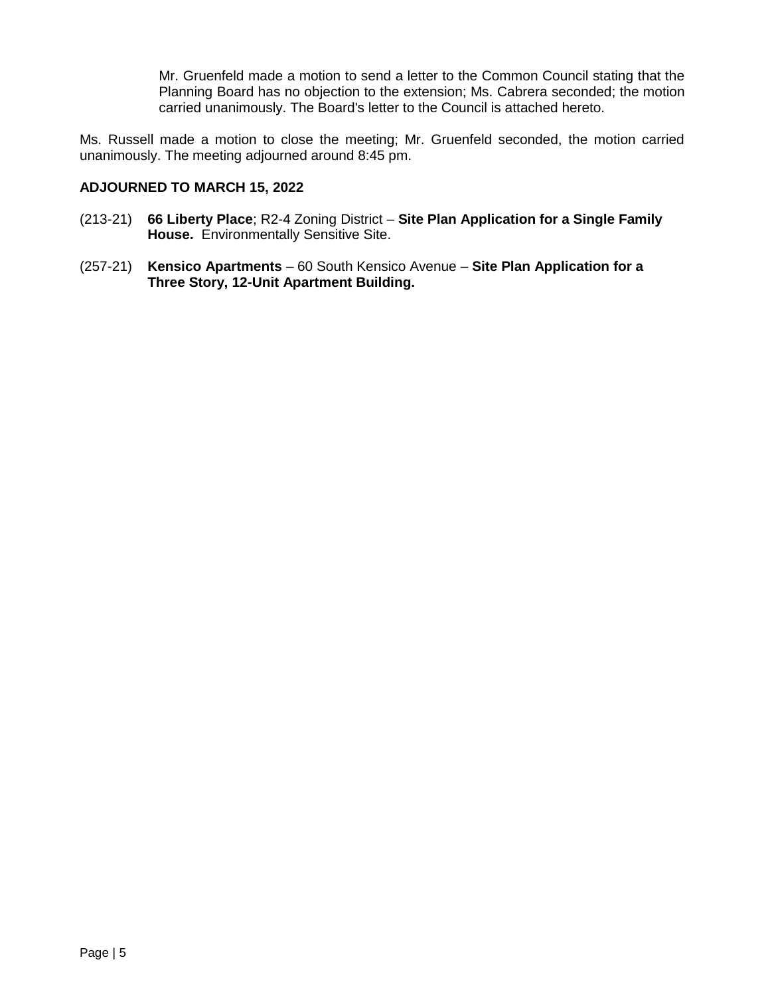Mr. Gruenfeld made a motion to send a letter to the Common Council stating that the Planning Board has no objection to the extension; Ms. Cabrera seconded; the motion carried unanimously. The Board's letter to the Council is attached hereto.

Ms. Russell made a motion to close the meeting; Mr. Gruenfeld seconded, the motion carried unanimously. The meeting adjourned around 8:45 pm.

## **ADJOURNED TO MARCH 15, 2022**

- (213-21) **66 Liberty Place**; R2-4 Zoning District **Site Plan Application for a Single Family House.** Environmentally Sensitive Site.
- (257-21) **Kensico Apartments**  60 South Kensico Avenue **Site Plan Application for a Three Story, 12-Unit Apartment Building.**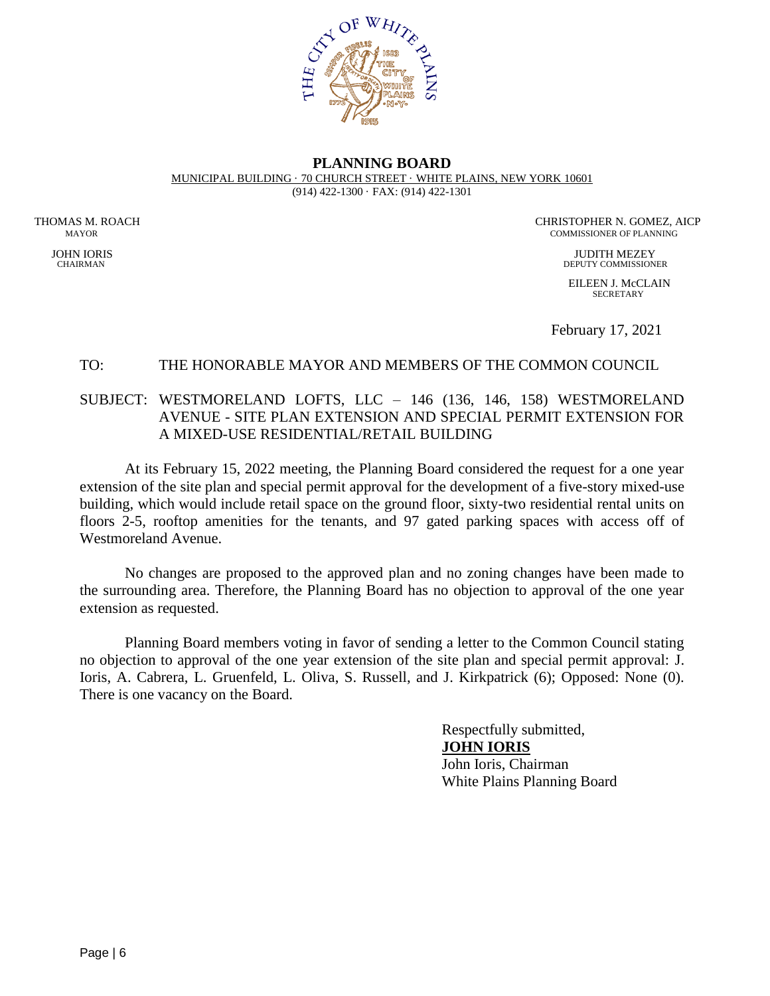

#### **PLANNING BOARD** MUNICIPAL BUILDING · 70 CHURCH STREET · WHITE PLAINS, NEW YORK 10601 (914) 422-1300 · FAX: (914) 422-1301

THOMAS M. ROACH CHRISTOPHER N. GOMEZ, AICP<br>MAYOR COMMISSIONER OF PLANNING COMMISSIONER OF PLANNING

 JOHN IORIS JUDITH MEZEY CHAIRMAN DEPUTY COMMISSIONER

> EILEEN J. McCLAIN **SECRETARY**

February 17, 2021

# TO: THE HONORABLE MAYOR AND MEMBERS OF THE COMMON COUNCIL

# SUBJECT: WESTMORELAND LOFTS, LLC – 146 (136, 146, 158) WESTMORELAND AVENUE - SITE PLAN EXTENSION AND SPECIAL PERMIT EXTENSION FOR A MIXED-USE RESIDENTIAL/RETAIL BUILDING

At its February 15, 2022 meeting, the Planning Board considered the request for a one year extension of the site plan and special permit approval for the development of a five-story mixed-use building, which would include retail space on the ground floor, sixty-two residential rental units on floors 2-5, rooftop amenities for the tenants, and 97 gated parking spaces with access off of Westmoreland Avenue.

No changes are proposed to the approved plan and no zoning changes have been made to the surrounding area. Therefore, the Planning Board has no objection to approval of the one year extension as requested.

Planning Board members voting in favor of sending a letter to the Common Council stating no objection to approval of the one year extension of the site plan and special permit approval: J. Ioris, A. Cabrera, L. Gruenfeld, L. Oliva, S. Russell, and J. Kirkpatrick (6); Opposed: None (0). There is one vacancy on the Board.

> Respectfully submitted, **JOHN IORIS** John Ioris, Chairman White Plains Planning Board